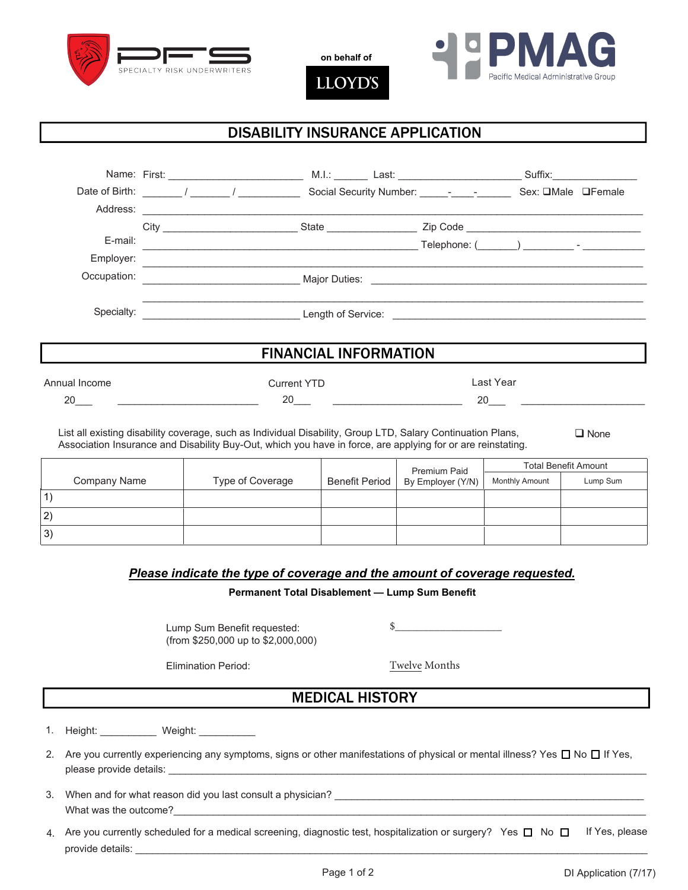

**on behalf of**

**LLOYD'S** 



## DISABILITY INSURANCE APPLICATION

|                                                                                                                                                                                                                            |                                                                  |  | Address: <u>example and a series of the series of the series of the series of the series of the series of the series of the series of the series of the series of the series of the series of the series of the series of the se</u> |                                                                                                                                                                                                                                                                                                                                                                       |  |  |           |  |             |
|----------------------------------------------------------------------------------------------------------------------------------------------------------------------------------------------------------------------------|------------------------------------------------------------------|--|--------------------------------------------------------------------------------------------------------------------------------------------------------------------------------------------------------------------------------------|-----------------------------------------------------------------------------------------------------------------------------------------------------------------------------------------------------------------------------------------------------------------------------------------------------------------------------------------------------------------------|--|--|-----------|--|-------------|
|                                                                                                                                                                                                                            |                                                                  |  |                                                                                                                                                                                                                                      |                                                                                                                                                                                                                                                                                                                                                                       |  |  |           |  |             |
| E-mail:                                                                                                                                                                                                                    |                                                                  |  |                                                                                                                                                                                                                                      |                                                                                                                                                                                                                                                                                                                                                                       |  |  |           |  |             |
| Employer:                                                                                                                                                                                                                  |                                                                  |  |                                                                                                                                                                                                                                      |                                                                                                                                                                                                                                                                                                                                                                       |  |  |           |  |             |
| Occupation:                                                                                                                                                                                                                | <u> 1989 - Andrea Stadt Britain, amerikansk politik (* 1958)</u> |  |                                                                                                                                                                                                                                      |                                                                                                                                                                                                                                                                                                                                                                       |  |  |           |  |             |
| Specialty:                                                                                                                                                                                                                 |                                                                  |  |                                                                                                                                                                                                                                      |                                                                                                                                                                                                                                                                                                                                                                       |  |  |           |  |             |
|                                                                                                                                                                                                                            |                                                                  |  |                                                                                                                                                                                                                                      | <b>FINANCIAL INFORMATION</b>                                                                                                                                                                                                                                                                                                                                          |  |  |           |  |             |
| Annual Income                                                                                                                                                                                                              |                                                                  |  | <b>Current YTD</b>                                                                                                                                                                                                                   |                                                                                                                                                                                                                                                                                                                                                                       |  |  | Last Year |  |             |
| 20                                                                                                                                                                                                                         |                                                                  |  |                                                                                                                                                                                                                                      | $20$ and $\overline{\phantom{a}20}$ and $\overline{\phantom{a}20}$ and $\overline{\phantom{a}20}$ and $\overline{\phantom{a}20}$ and $\overline{\phantom{a}20}$ and $\overline{\phantom{a}20}$ and $\overline{\phantom{a}20}$ and $\overline{\phantom{a}20}$ and $\overline{\phantom{a}20}$ and $\overline{\phantom{a}20}$ and $\overline{\phantom{a}20}$ and $\over$ |  |  | 20        |  |             |
| List all existing disability coverage, such as Individual Disability, Group LTD, Salary Continuation Plans,<br>Association Insurance and Disability Buy-Out, which you have in force, are applying for or are reinstating. |                                                                  |  |                                                                                                                                                                                                                                      |                                                                                                                                                                                                                                                                                                                                                                       |  |  |           |  | $\Box$ None |

|             |              |                  |                | Premium Paid      | <b>Total Benefit Amount</b> |          |
|-------------|--------------|------------------|----------------|-------------------|-----------------------------|----------|
|             | Company Name | Type of Coverage | Benefit Period | By Employer (Y/N) | Monthly Amount              | Lump Sum |
|             |              |                  |                |                   |                             |          |
| $ 2\rangle$ |              |                  |                |                   |                             |          |
| $ 3\rangle$ |              |                  |                |                   |                             |          |

#### *Please indicate the type of coverage and the amount of coverage requested.*

#### **Permanent Total Disablement — Lump Sum Benefit**

Lump Sum Benefit requested: (from \$250,000 up to \$2,000,000)

 $\frac{\frac{1}{2}$ 

Elimination Period:

Twelve Months

## MEDICAL HISTORY

1. Height: Weight:

- 2. Are you currently experiencing any symptoms, signs or other manifestations of physical or mental illness? Yes  $\Box$  No  $\Box$  If Yes, please provide details:
- 3. When and for what reason did you last consult a physician? \_\_\_\_\_\_\_\_\_\_\_\_\_\_\_\_\_\_\_\_\_ What was the outcome?
- 4.  $\,$  Are you currently scheduled for a medical screening, diagnostic test, hospitalization or surgery?  $\,$  Yes  $\,\square\,$  No  $\,\square\,$   $\,$  If Yes, please provide details: